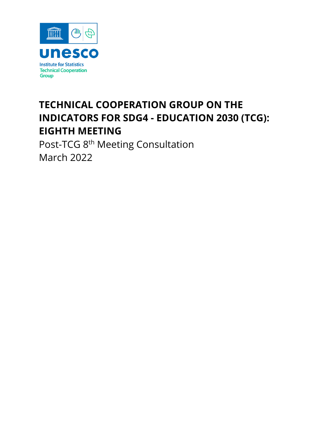

# **TECHNICAL COOPERATION GROUP ON THE INDICATORS FOR SDG4 - EDUCATION 2030 (TCG): EIGHTH MEETING**

Post-TCG 8<sup>th</sup> Meeting Consultation March 2022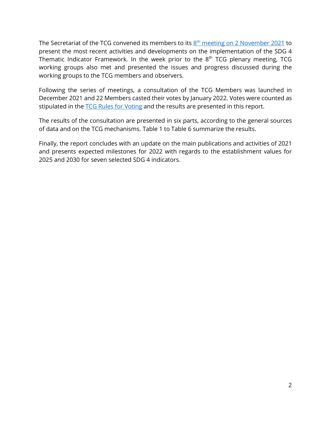The Secretariat of the TCG convened its members to its  $8<sup>th</sup>$  [meeting on 2 November 2021](http://tcg.uis.unesco.org/tcg8/) to present the most recent activities and developments on the implementation of the SDG 4 Thematic Indicator Framework. In the week prior to the  $8<sup>th</sup> TCG$  plenary meeting, TCG working groups also met and presented the issues and progress discussed during the working groups to the TCG members and observers.

Following the series of meetings, a consultation of the TCG Members was launched in December 2021 and 22 Members casted their votes by January 2022. Votes were counted as stipulated in the **TCG Rules for Voting** and the results are presented in this report.

The results of the consultation are presented in six parts, according to the general sources of data and on the TCG mechanisms. Table 1 to Table 6 summarize the results.

Finally, the report concludes with an update on the main publications and activities of 2021 and presents expected milestones for 2022 with regards to the establishment values for 2025 and 2030 for seven selected SDG 4 indicators.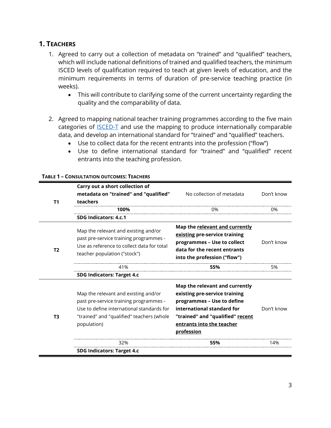# **1. TEACHERS**

- 1. Agreed to carry out a collection of metadata on "trained" and "qualified" teachers, which will include national definitions of trained and qualified teachers, the minimum ISCED levels of qualification required to teach at given levels of education, and the minimum requirements in terms of duration of pre-service teaching practice (in weeks).
	- This will contribute to clarifying some of the current uncertainty regarding the quality and the comparability of data.
- 2. Agreed to mapping national teacher training programmes according to the five main categories of **ISCED-T** and use the mapping to produce internationally comparable data, and develop an international standard for "trained" and "qualified" teachers.
	- Use to collect data for the recent entrants into the profession ("flow")
	- Use to define international standard for "trained" and "qualified" recent entrants into the teaching profession.

|                | Carry out a short collection of<br>metadata on "trained" and "qualified"                                                                                                                | No collection of metadata                                                                                                                                                                                  | Don't know |
|----------------|-----------------------------------------------------------------------------------------------------------------------------------------------------------------------------------------|------------------------------------------------------------------------------------------------------------------------------------------------------------------------------------------------------------|------------|
| T <sub>1</sub> | teachers                                                                                                                                                                                |                                                                                                                                                                                                            |            |
|                | 100%                                                                                                                                                                                    | 0%                                                                                                                                                                                                         | 0%         |
|                | SDG Indicators: 4.c.1                                                                                                                                                                   |                                                                                                                                                                                                            |            |
| T <sub>2</sub> | Map the relevant and existing and/or<br>past pre-service training programmes -<br>Use as reference to collect data for total<br>teacher population ("stock")                            | Map the relevant and currently<br>existing pre-service training<br>programmes - Use to collect<br>data for the recent entrants<br>into the profession ("flow")                                             | Don't know |
|                | 41%                                                                                                                                                                                     | 55%                                                                                                                                                                                                        | 5%         |
|                | <b>SDG Indicators: Target 4.c</b>                                                                                                                                                       |                                                                                                                                                                                                            |            |
| T <sub>3</sub> | Map the relevant and existing and/or<br>past pre-service training programmes -<br>Use to define international standards for<br>"trained" and "qualified" teachers (whole<br>population) | Map the relevant and currently<br>existing pre-service training<br>programmes - Use to define<br>international standard for<br>"trained" and "qualified" recent<br>entrants into the teacher<br>profession | Don't know |
|                | 32%                                                                                                                                                                                     | 55%                                                                                                                                                                                                        | 14%        |
|                | <b>SDG Indicators: Target 4.c</b>                                                                                                                                                       |                                                                                                                                                                                                            |            |

#### **TABLE 1 – CONSULTATION OUTCOMES: TEACHERS**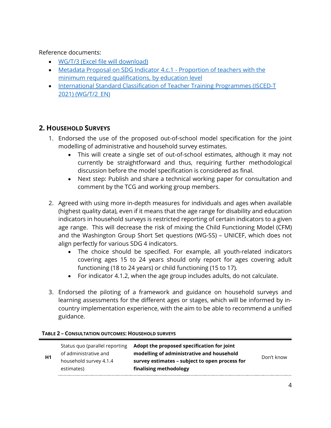Reference documents:

- [WG/T/3 \(Excel file will download\)](http://tcg.uis.unesco.org/wp-content/uploads/sites/4/2021/10/TCG-WG-T-3-Metadata_proposal_on_4.c.1.xlsx)
- Metadata [Proposal on SDG Indicator 4.c.1 -](http://tcg.uis.unesco.org/wp-content/uploads/sites/4/2021/09/Metadata-4.c.1.pdf) Proportion of teachers with the [minimum required qualifications, by education level](http://tcg.uis.unesco.org/wp-content/uploads/sites/4/2021/09/Metadata-4.c.1.pdf)
- [International Standard Classification of Teacher Training Programmes \(ISCED-T](http://tcg.uis.unesco.org/wp-content/uploads/sites/4/2021/10/TCG-WG-T-2_EN-ISCED-T_draft_EN.pdf)  [2021\) \(WG/T/2\\_EN\)](http://tcg.uis.unesco.org/wp-content/uploads/sites/4/2021/10/TCG-WG-T-2_EN-ISCED-T_draft_EN.pdf)

# **2. HOUSEHOLD SURVEYS**

- 1. Endorsed the use of the proposed out-of-school model specification for the joint modelling of administrative and household survey estimates.
	- This will create a single set of out-of-school estimates, although it may not currently be straightforward and thus, requiring further methodological discussion before the model specification is considered as final.
	- Next step: Publish and share a technical working paper for consultation and comment by the TCG and working group members.
- 2. Agreed with using more in-depth measures for individuals and ages when available (highest quality data), even if it means that the age range for disability and education indicators in household surveys is restricted reporting of certain indicators to a given age range. This will decrease the risk of mixing the Child Functioning Model (CFM) and the Washington Group Short Set questions (WG-SS) – UNICEF, which does not align perfectly for various SDG 4 indicators.
	- The choice should be specified. For example, all youth-related indicators covering ages 15 to 24 years should only report for ages covering adult functioning (18 to 24 years) or child functioning (15 to 17).
	- For indicator 4.1.2, when the age group includes adults, do not calculate.
- 3. Endorsed the piloting of a framework and guidance on household surveys and learning assessments for the different ages or stages, which will be informed by incountry implementation experience, with the aim to be able to recommend a unified guidance.

| of administrative and<br>H1<br>household survey 4.1.4<br>estimates) | Status quo (parallel reporting | Adopt the proposed specification for joint<br>modelling of administrative and household<br>survey estimates - subject to open process for<br>finalising methodology | Don't know |
|---------------------------------------------------------------------|--------------------------------|---------------------------------------------------------------------------------------------------------------------------------------------------------------------|------------|
|---------------------------------------------------------------------|--------------------------------|---------------------------------------------------------------------------------------------------------------------------------------------------------------------|------------|

## **TABLE 2 – CONSULTATION OUTCOMES: HOUSEHOLD SURVEYS**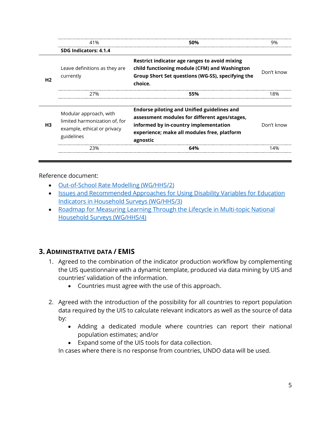|                | 41%                                                                                                  | 50%                                                                                                                                                                                                     | ч%         |
|----------------|------------------------------------------------------------------------------------------------------|---------------------------------------------------------------------------------------------------------------------------------------------------------------------------------------------------------|------------|
|                | SDG Indicators: 4.1.4                                                                                |                                                                                                                                                                                                         |            |
| H <sub>2</sub> | Leave definitions as they are<br>currently                                                           | Restrict indicator age ranges to avoid mixing<br>child functioning module (CFM) and Washington<br>Group Short Set questions (WG-SS), specifying the<br>choice.                                          | Don't know |
|                | 27%                                                                                                  | 55%                                                                                                                                                                                                     | 8%         |
| H <sub>3</sub> | Modular approach, with<br>limited harmonization of, for<br>example, ethical or privacy<br>guidelines | <b>Endorse piloting and Unified guidelines and</b><br>assessment modules for different ages/stages,<br>informed by in-country implementation<br>experience; make all modules free, platform<br>agnostic | Don't know |
|                | 23%                                                                                                  | 64%                                                                                                                                                                                                     | 4%         |

Reference document:

- [Out-of-School Rate Modelling \(WG/HHS/2\)](http://tcg.uis.unesco.org/wp-content/uploads/sites/4/2021/10/TCG-WG-HHS-2-Out-of-School-Rate-Modelling.pdf)
- [Issues and Recommended Approaches for Using Disability Variables for Education](http://tcg.uis.unesco.org/wp-content/uploads/sites/4/2021/10/TCG-WG-HHS-3-Disability.pdf)  [Indicators in Household Surveys \(WG/HHS/3\)](http://tcg.uis.unesco.org/wp-content/uploads/sites/4/2021/10/TCG-WG-HHS-3-Disability.pdf)
- [Roadmap for Measuring Learning Through the Lifecycle in Multi-topic National](http://tcg.uis.unesco.org/wp-content/uploads/sites/4/2021/10/TCG-WG-HHS-4-Measuring-Learning-Lifecycle.pdf)  [Household Surveys \(WG/HHS/4\)](http://tcg.uis.unesco.org/wp-content/uploads/sites/4/2021/10/TCG-WG-HHS-4-Measuring-Learning-Lifecycle.pdf)

# **3. ADMINISTRATIVE DATA / EMIS**

- 1. Agreed to the combination of the indicator production workflow by complementing the UIS questionnaire with a dynamic template, produced via data mining by UIS and countries' validation of the information.
	- Countries must agree with the use of this approach.
- 2. Agreed with the introduction of the possibility for all countries to report population data required by the UIS to calculate relevant indicators as well as the source of data by:
	- Adding a dedicated module where countries can report their national population estimates; and/or
	- Expand some of the UIS tools for data collection.

In cases where there is no response from countries, UNDO data will be used.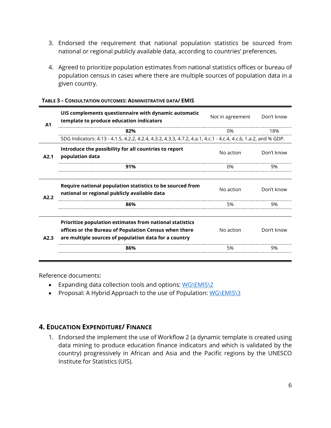- 3. Endorsed the requirement that national population statistics be sourced from national or regional publicly available data, according to countries' preferences.
- 4. Agreed to prioritize population estimates from national statistics offices or bureau of population census in cases where there are multiple sources of population data in a given country.

| A <sub>1</sub> | UIS complements questionnaire with dynamic automatic<br>template to produce education indicators                                                                                  | Don't know<br>Not in agreement |            |
|----------------|-----------------------------------------------------------------------------------------------------------------------------------------------------------------------------------|--------------------------------|------------|
|                | 82%                                                                                                                                                                               | 0%                             | 18%        |
|                | SDG Indicators: 4.13 - 4.1.5, 4.2.2, 4.2.4, 4.3.2, 4.3.3, 4.7.2, 4.a.1, 4.c.1 - 4.c.4, 4.c.6, 1.a.2, and % GDP.                                                                   |                                |            |
| A2.1           | Introduce the possibility for all countries to report<br>population data                                                                                                          | No action                      | Don't know |
|                | 91%                                                                                                                                                                               | 0%                             | 9%         |
|                |                                                                                                                                                                                   |                                |            |
| A2.2           | Require national population statistics to be sourced from<br>national or regional publicly available data                                                                         | No action                      | Don't know |
|                | 86%                                                                                                                                                                               | 5%                             | 9%         |
| A2.3           | <b>Prioritize population estimates from national statistics</b><br>offices or the Bureau of Population Census when there<br>are multiple sources of population data for a country | No action                      | Don't know |
|                | 86%                                                                                                                                                                               | 5%                             | 9%         |
|                |                                                                                                                                                                                   |                                |            |

#### **TABLE 3 – CONSULTATION OUTCOMES: ADMINISTRATIVE DATA/ EMIS**

Reference documents:

- Expanding data collection tools and options: [WG\EMIS\2](http://tcg.uis.unesco.org/tcg8/emis/)
- Proposal: A Hybrid Approach to the use of Population: [WG\EMIS\3](hthttp://tcg.uis.unesco.org/wp-content/uploads/sites/4/2021/10/TCG-WG-EMIS-3-Population.pdf)

## **4. EDUCATION EXPENDITURE/ FINANCE**

1. Endorsed the implement the use of Workflow 2 (a dynamic template is created using data mining to produce education finance indicators and which is validated by the country) progressively in African and Asia and the Pacific regions by the UNESCO Institute for Statistics (UIS).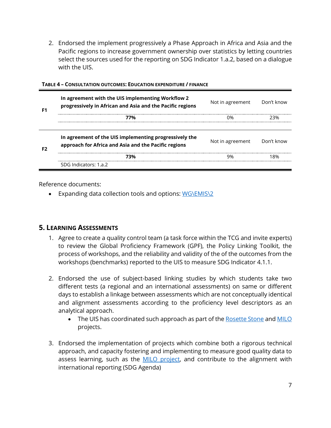2. Endorsed the implement progressively a Phase Approach in Africa and Asia and the Pacific regions to increase government ownership over statistics by letting countries select the sources used for the reporting on SDG Indicator 1.a.2, based on a dialogue with the UIS.

|  | In agreement with the UIS implementing Workflow 2<br>progressively in African and Asia and the Pacific regions | Not in agreement Don't know |                                       |
|--|----------------------------------------------------------------------------------------------------------------|-----------------------------|---------------------------------------|
|  | 77%                                                                                                            |                             |                                       |
|  |                                                                                                                |                             |                                       |
|  | In agreement of the UIS implementing progressively the<br>approach for Africa and Asia and the Pacific regions | Not in agreement Don't know |                                       |
|  | 720љ                                                                                                           |                             | ------------------------------------- |
|  | SDG Indicators: 1.a.2                                                                                          |                             |                                       |

#### **TABLE 4 – CONSULTATION OUTCOMES: EDUCATION EXPENDITURE / FINANCE**

Reference documents:

• Expanding data collection tools and options: [WG\EMIS\2](http://tcg.uis.unesco.org/tcg8/emis/)

## **5. LEARNING ASSESSMENTS**

- 1. Agree to create a quality control team (a task force within the TCG and invite experts) to review the Global Proficiency Framework (GPF), the Policy Linking Toolkit, the process of workshops, and the reliability and validity of the of the outcomes from the workshops (benchmarks) reported to the UIS to measure SDG Indicator 4.1.1.
- 2. Endorsed the use of subject-based linking studies by which students take two different tests (a regional and an international assessments) on same or different days to establish a linkage between assessments which are not conceptually identical and alignment assessments according to the proficiency level descriptors as an analytical approach.
	- The UIS has coordinated such approach as part of th[e Rosette Stone](http://gaml.uis.unesco.org/rosetta-stone/) an[d MILO](http://tcg.uis.unesco.org/wp-content/uploads/sites/4/2021/10/TCG-WG-GAML-4-MILO-Study-Design.pdf) projects.
- 3. Endorsed the implementation of projects which combine both a rigorous technical approach, and capacity fostering and implementing to measure good quality data to assess learning, such as the **MILO** project, and contribute to the alignment with international reporting (SDG Agenda)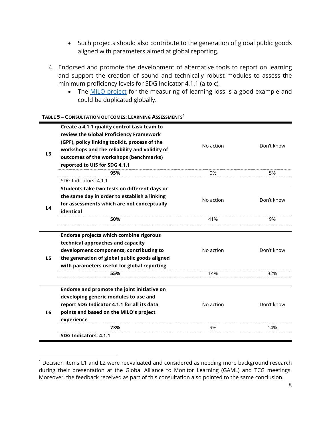- Such projects should also contribute to the generation of global public goods aligned with parameters aimed at global reporting.
- 4. Endorsed and promote the development of alternative tools to report on learning and support the creation of sound and technically robust modules to assess the minimum proficiency levels for SDG Indicator 4.1.1 (a to c),
	- The [MILO project](http://tcg.uis.unesco.org/wp-content/uploads/sites/4/2021/10/TCG-WG-GAML-4-MILO-Study-Design.pdf) for the measuring of learning loss is a good example and could be duplicated globally.

| L <sub>3</sub> | Create a 4.1.1 quality control task team to<br>review the Global Proficiency Framework<br>(GPF), policy linking toolkit, process of the<br>workshops and the reliability and validity of<br>outcomes of the workshops (benchmarks)<br>reported to UIS for SDG 4.1.1 | No action | Don't know |
|----------------|---------------------------------------------------------------------------------------------------------------------------------------------------------------------------------------------------------------------------------------------------------------------|-----------|------------|
|                | 95%                                                                                                                                                                                                                                                                 | 0%        | 5%         |
|                | SDG Indicators: 4.1.1                                                                                                                                                                                                                                               |           |            |
|                | Students take two tests on different days or                                                                                                                                                                                                                        |           |            |
|                | the same day in order to establish a linking                                                                                                                                                                                                                        | No action | Don't know |
| L4             | for assessments which are not conceptually                                                                                                                                                                                                                          |           |            |
|                | identical                                                                                                                                                                                                                                                           |           |            |
|                | 50%                                                                                                                                                                                                                                                                 | 41%       | 9%         |
|                |                                                                                                                                                                                                                                                                     |           |            |
|                | Endorse projects which combine rigorous                                                                                                                                                                                                                             |           |            |
|                | technical approaches and capacity                                                                                                                                                                                                                                   |           |            |
|                | development components, contributing to                                                                                                                                                                                                                             | No action | Don't know |
| L <sub>5</sub> | the generation of global public goods aligned                                                                                                                                                                                                                       |           |            |
|                | with parameters useful for global reporting                                                                                                                                                                                                                         |           |            |
|                | 55%                                                                                                                                                                                                                                                                 | 14%       | 32%        |
|                | Endorse and promote the joint initiative on                                                                                                                                                                                                                         |           |            |
|                | developing generic modules to use and                                                                                                                                                                                                                               |           |            |
| L <sub>6</sub> | report SDG Indicator 4.1.1 for all its data                                                                                                                                                                                                                         | No action | Don't know |
|                |                                                                                                                                                                                                                                                                     |           |            |
|                | points and based on the MILO's project                                                                                                                                                                                                                              |           |            |
|                | experience                                                                                                                                                                                                                                                          |           |            |
|                | 73%                                                                                                                                                                                                                                                                 | 9%        | 14%        |
|                | SDG Indicators: 4.1.1                                                                                                                                                                                                                                               |           |            |

#### **TABLE 5 – CONSULTATION OUTCOMES: LEARNING ASSESSMENTS[1](#page-7-0)**

<span id="page-7-0"></span><sup>&</sup>lt;sup>1</sup> Decision items L1 and L2 were reevaluated and considered as needing more background research during their presentation at the Global Alliance to Monitor Learning (GAML) and TCG meetings. Moreover, the feedback received as part of this consultation also pointed to the same conclusion.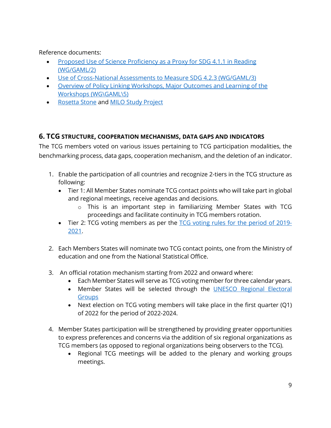Reference documents:

- [Proposed Use of Science Proficiency as a Proxy for SDG 4.1.1 in Reading](http://tcg.uis.unesco.org/wp-content/uploads/sites/4/2021/10/TCG-WG-GAML-2-4-1-1-CNAs.pdf)  [\(WG/GAML/2\)](http://tcg.uis.unesco.org/wp-content/uploads/sites/4/2021/10/TCG-WG-GAML-2-4-1-1-CNAs.pdf)
- [Use of Cross-National Assessments to Measure SDG 4.2.3 \(WG/GAML/3\)](http://tcg.uis.unesco.org/wp-content/uploads/sites/4/2021/10/TCG-WG-GAML-3-4-2-3-CNAs.pdf)
- [Overview of Policy Linking Workshops, Major Outcomes and Learning of the](http://tcg.uis.unesco.org/wp-content/uploads/sites/4/2021/10/TCG-WG-GAML-5-Policy-Linking-Overview.pdf)  [Workshops \(WG\GAML\5\)](http://tcg.uis.unesco.org/wp-content/uploads/sites/4/2021/10/TCG-WG-GAML-5-Policy-Linking-Overview.pdf)
- [Rosetta](http://gaml.uis.unesco.org/rosetta-stone/) Stone and [MILO Study Project](http://tcg.uis.unesco.org/wp-content/uploads/sites/4/2021/10/TCG-WG-GAML-4-MILO-Study-Design.pdf)

# **6. TCG STRUCTURE, COOPERATION MECHANISMS, DATA GAPS AND INDICATORS**

The TCG members voted on various issues pertaining to TCG participation modalities, the benchmarking process, data gaps, cooperation mechanism, and the deletion of an indicator.

- 1. Enable the participation of all countries and recognize 2-tiers in the TCG structure as following:
	- Tier 1: All Member States nominate TCG contact points who will take part in global and regional meetings, receive agendas and decisions.
		- o This is an important step in familiarizing Member States with TCG proceedings and facilitate continuity in TCG members rotation.
	- Tier 2: TCG voting members as per the TCG voting rules [for the period of 2019-](https://tcg.uis.unesco.org/wp-content/uploads/sites/4/2019/09/TCG_voting_rules-v3.pdf) [2021.](https://tcg.uis.unesco.org/wp-content/uploads/sites/4/2019/09/TCG_voting_rules-v3.pdf)
- 2. Each Members States will nominate two TCG contact points, one from the Ministry of education and one from the National Statistical Office.
- 3. An official rotation mechanism starting from 2022 and onward where:
	- Each Member States will serve as TCG voting member for three calendar years.
	- Member States will be selected through the [UNESCO Regional Electoral](https://www.unesco.org/en/executive-board/brief)  **[Groups](https://www.unesco.org/en/executive-board/brief)**
	- Next election on TCG voting members will take place in the first quarter (Q1) of 2022 for the period of 2022-2024.
- 4. Member States participation will be strengthened by providing greater opportunities to express preferences and concerns via the addition of six regional organizations as TCG members (as opposed to regional organizations being observers to the TCG).
	- Regional TCG meetings will be added to the plenary and working groups meetings.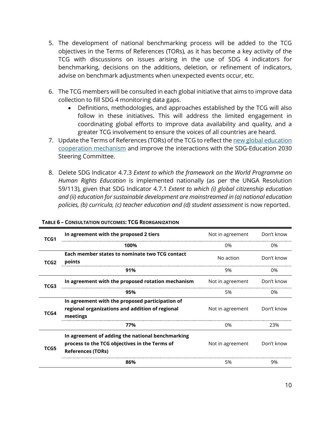- 5. The development of national benchmarking process will be added to the TCG objectives in the Terms of References (TORs), as it has become a key activity of the TCG with discussions on issues arising in the use of SDG 4 indicators for benchmarking, decisions on the additions, deletion, or refinement of indicators, advise on benchmark adjustments when unexpected events occur, etc.
- 6. The TCG members will be consulted in each global initiative that aims to improve data collection to fill SDG 4 monitoring data gaps.
	- Definitions, methodologies, and approaches established by the TCG will also follow in these initiatives. This will address the limited engagement in coordinating global efforts to improve data availability and quality, and a greater TCG involvement to ensure the voices of all countries are heard.
- 7. Update the Terms of References (TORs) of the TCG to reflect the new global education [cooperation mechanism](https://en.unesco.org/news/what-you-need-know-about-global-cooperation-mechanism-education) and improve the interactions with the SDG-Education 2030 Steering Committee.
- 8. Delete SDG Indicator 4.7.3 *Extent to which the framework on the World Programme on Human Rights Education* is implemented nationally (as per the UNGA Resolution 59/113), given that SDG Indicator 4.7.1 *Extent to which (i) global citizenship education and (ii) education for sustainable development are mainstreamed in (a) national education policies, (b) curricula, (c) teacher education and (d) student assessment* is now reported.

| TCG1             | In agreement with the proposed 2 tiers                                                                                        | Not in agreement | Don't know |
|------------------|-------------------------------------------------------------------------------------------------------------------------------|------------------|------------|
|                  | 100%                                                                                                                          | 0%               | 0%         |
| TCG <sub>2</sub> | Each member states to nominate two TCG contact<br>points                                                                      | No action        | Don't know |
|                  | 91%                                                                                                                           | 9%               | 0%         |
| TCG3             | In agreement with the proposed rotation mechanism                                                                             | Not in agreement | Don't know |
|                  | 95%                                                                                                                           | 5%               | 0%         |
| TCG4             | In agreement with the proposed participation of<br>regional organizations and addition of regional<br>meetings                | Not in agreement | Don't know |
|                  | 77%                                                                                                                           | 0%               | 23%        |
| TCG5             | In agreement of adding the national benchmarking<br>process to the TCG objectives in the Terms of<br><b>References (TORs)</b> | Not in agreement | Don't know |
|                  | 86%                                                                                                                           | 5%               | 9%         |

#### **TABLE 6 – CONSULTATION OUTCOMES: TCG REORGANIZATION**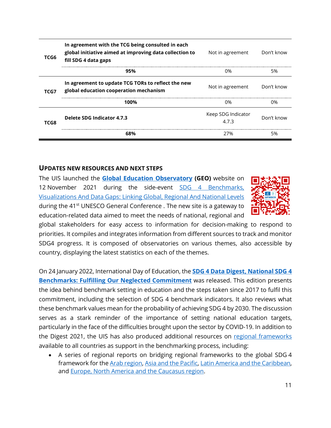| TCG6 | In agreement with the TCG being consulted in each<br>global initiative aimed at improving data collection to<br>fill SDG 4 data gaps | Not in agreement          | Don't know |
|------|--------------------------------------------------------------------------------------------------------------------------------------|---------------------------|------------|
|      | 95%                                                                                                                                  | በ%                        | 5%         |
| TCG7 | In agreement to update TCG TORs to reflect the new<br>global education cooperation mechanism                                         | Not in agreement          | Don't know |
|      | 100%                                                                                                                                 | በ%                        | በ%         |
| TCG8 | Delete SDG Indicator 4.7.3                                                                                                           | Keep SDG Indicator<br>473 | Don't know |
|      |                                                                                                                                      | ን7‰                       | 5%         |

## **UPDATES NEW RESOURCES AND NEXT STEPS**

The UIS launched the **[Global Education Observator](https://geo.uis.unesco.org/)y (GEO)** website on 12 November 2021 during the side-event **SDG 4 Benchmarks**, [Visualizations And Data Gaps: Linking Global, Regional And National Levels](https://en.unesco.org/gem-report/events/2021/sdg-4-benchmarks-visualizations-and-data-gaps-linking-global-regional-and-national-0) during the 41<sup>st</sup> UNESCO General Conference . The new site is a gateway to education-related data aimed to meet the needs of national, regional and



global stakeholders for easy access to information for decision-making to respond to priorities. It compiles and integrates information from different sources to track and monitor SDG4 progress. It is composed of observatories on various themes, also accessible by country, displaying the latest statistics on each of the themes.

On 24 January 2022, International Day of Education, the **[SDG 4 Data Digest, National SDG](https://tcg.uis.unesco.org/wp-content/uploads/sites/4/2022/01/SDG-4-Data-Digest-2022-ENG.pdf) 4 [Benchmarks: Fulfilling Our Neglected Commitment](https://tcg.uis.unesco.org/wp-content/uploads/sites/4/2022/01/SDG-4-Data-Digest-2022-ENG.pdf)** was released. This edition presents the idea behind benchmark setting in education and the steps taken since 2017 to fulfil this commitment, including the selection of SDG 4 benchmark indicators. It also reviews what these benchmark values mean for the probability of achieving SDG 4 by 2030. The discussion serves as a stark reminder of the importance of setting national education targets, particularly in the face of the difficulties brought upon the sector by COVID-19. In addition to the Digest 2021, the UIS has also produced additional resources on [regional frameworks](https://tcg.uis.unesco.org/regional-frameworks-for-sdg4/) available to all countries as support in the benchmarking process, including:

• A series of regional reports on bridging regional frameworks to the global SDG 4 framework for the [Arab region,](https://tcg.uis.unesco.org/wp-content/uploads/sites/4/2021/11/Benchmarks-Report-ARAB_2021_EN.pdf) [Asia and the Pacific,](https://tcg.uis.unesco.org/wp-content/uploads/sites/4/2021/11/Benchmarks-Report_Asia-Pacific_Oct-2021.pdf) [Latin America and the Caribbean,](https://tcg.uis.unesco.org/wp-content/uploads/sites/4/2021/11/Benchmarks-Report-LAC_Oct-2021_EN.pdf)  and [Europe, North America and the Caucasus region.](http://tcg.uis.unesco.org/wp-content/uploads/sites/4/2021/11/Benchmarks-Report-EU-NA-Causasus_2021_EN.pdf)